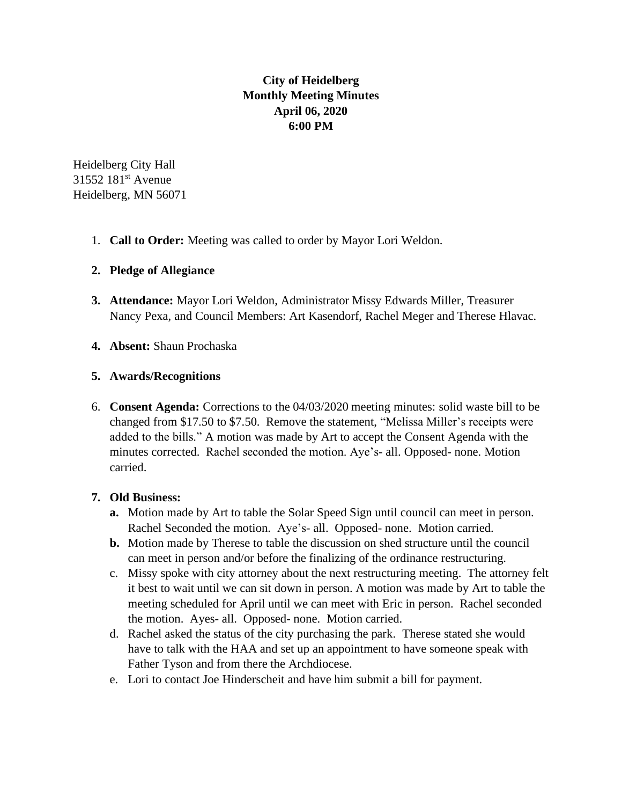# **City of Heidelberg Monthly Meeting Minutes April 06, 2020 6:00 PM**

Heidelberg City Hall 31552 181<sup>st</sup> Avenue Heidelberg, MN 56071

1. **Call to Order:** Meeting was called to order by Mayor Lori Weldon.

## **2. Pledge of Allegiance**

- **3. Attendance:** Mayor Lori Weldon, Administrator Missy Edwards Miller, Treasurer Nancy Pexa, and Council Members: Art Kasendorf, Rachel Meger and Therese Hlavac.
- **4. Absent:** Shaun Prochaska

## **5. Awards/Recognitions**

6. **Consent Agenda:** Corrections to the 04/03/2020 meeting minutes: solid waste bill to be changed from \$17.50 to \$7.50. Remove the statement, "Melissa Miller's receipts were added to the bills." A motion was made by Art to accept the Consent Agenda with the minutes corrected. Rachel seconded the motion. Aye's- all. Opposed- none. Motion carried.

#### **7. Old Business:**

- **a.** Motion made by Art to table the Solar Speed Sign until council can meet in person. Rachel Seconded the motion. Aye's- all. Opposed- none. Motion carried.
- **b.** Motion made by Therese to table the discussion on shed structure until the council can meet in person and/or before the finalizing of the ordinance restructuring.
- c. Missy spoke with city attorney about the next restructuring meeting. The attorney felt it best to wait until we can sit down in person. A motion was made by Art to table the meeting scheduled for April until we can meet with Eric in person. Rachel seconded the motion. Ayes- all. Opposed- none. Motion carried.
- d. Rachel asked the status of the city purchasing the park. Therese stated she would have to talk with the HAA and set up an appointment to have someone speak with Father Tyson and from there the Archdiocese.
- e. Lori to contact Joe Hinderscheit and have him submit a bill for payment.